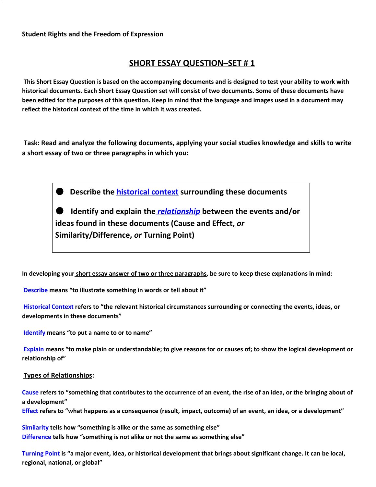## **SHORT ESSAY QUESTION–SET # 1**

This Short Essay Question is based on the accompanying documents and is designed to test your ability to work with historical documents. Each Short Essay Question set will consist of two documents. Some of these documents have been edited for the purposes of this question. Keep in mind that the language and images used in a document may **reflect the historical context of the time in which it was created.**

 **Task: Read and analyze the following documents, applying your social studies knowledge and skills to write a short essay of two or three paragraphs in which you:**

● **Describe the historical context surrounding these documents**

● **Identify and explain the** *relationship* **between the events and/or ideas found in these documents (Cause and Effect,** *or* **Similarity/Difference,** *or* **Turning Point)**

In developing your short essay answer of two or three paragraphs, be sure to keep these explanations in mind:

**Describe means "to illustrate something in words or tell about it"**

**Historical Context refers to "the relevant historical circumstances surrounding or connecting the events, ideas, or developments in these documents"**

**Identify means "to put a name to or to name"**

Explain means "to make plain or understandable; to give reasons for or causes of; to show the logical development or **relationship of"**

#### **Types of Relationships:**

Cause refers to "something that contributes to the occurrence of an event, the rise of an idea, or the bringing about of **a development"**

Effect refers to "what happens as a consequence (result, impact, outcome) of an event, an idea, or a development"

**Similarity tells how "something is alike or the same as something else" Difference tells how "something is not alike or not the same as something else"**

Turning Point is "a major event, idea, or historical development that brings about significant change. It can be local, **regional, national, or global"**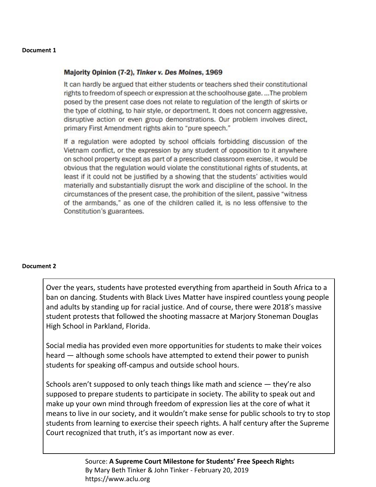#### **Document 1**

### Majority Opinion (7-2), Tinker v. Des Moines, 1969

It can hardly be argued that either students or teachers shed their constitutional rights to freedom of speech or expression at the schoolhouse gate...The problem posed by the present case does not relate to regulation of the length of skirts or the type of clothing, to hair style, or deportment. It does not concern aggressive, disruptive action or even group demonstrations. Our problem involves direct, primary First Amendment rights akin to "pure speech."

If a regulation were adopted by school officials forbidding discussion of the Vietnam conflict, or the expression by any student of opposition to it anywhere on school property except as part of a prescribed classroom exercise, it would be obvious that the regulation would violate the constitutional rights of students, at least if it could not be justified by a showing that the students' activities would materially and substantially disrupt the work and discipline of the school. In the circumstances of the present case, the prohibition of the silent, passive "witness" of the armbands," as one of the children called it, is no less offensive to the Constitution's guarantees.

#### **Document 2**

Over the years, students have protested everything from apartheid in South Africa to a ban on dancing. Students with Black Lives Matter have inspired countless young people and adults by standing up for racial justice. And of course, there were 2018's massive student protests that followed the shooting massacre at Marjory Stoneman Douglas High School in Parkland, Florida.

Social media has provided even more opportunities for students to make their voices heard — although some schools have attempted to extend their power to punish students for speaking off-campus and outside school hours.

Schools aren't supposed to only teach things like math and science — they're also supposed to prepare students to participate in society. The ability to speak out and make up your own mind through freedom of expression lies at the core of what it means to live in our society, and it wouldn't make sense for public schools to try to stop students from learning to exercise their speech rights. A half century after the Supreme Court recognized that truth, it's as important now as ever.